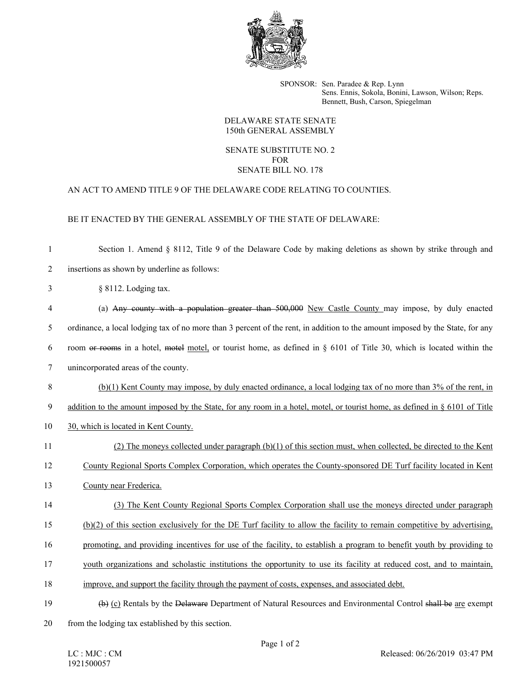

SPONSOR: Sen. Paradee & Rep. Lynn Sens. Ennis, Sokola, Bonini, Lawson, Wilson; Reps. Bennett, Bush, Carson, Spiegelman

### DELAWARE STATE SENATE 150th GENERAL ASSEMBLY

### SENATE SUBSTITUTE NO. 2 FOR SENATE BILL NO. 178

# AN ACT TO AMEND TITLE 9 OF THE DELAWARE CODE RELATING TO COUNTIES.

## BE IT ENACTED BY THE GENERAL ASSEMBLY OF THE STATE OF DELAWARE:

| $\mathbf{1}$   | Section 1. Amend § 8112, Title 9 of the Delaware Code by making deletions as shown by strike through and                       |
|----------------|--------------------------------------------------------------------------------------------------------------------------------|
| $\overline{2}$ | insertions as shown by underline as follows:                                                                                   |
| 3              | § 8112. Lodging tax.                                                                                                           |
| $\overline{4}$ | (a) Any county with a population greater than 500,000 New Castle County may impose, by duly enacted                            |
| 5              | ordinance, a local lodging tax of no more than 3 percent of the rent, in addition to the amount imposed by the State, for any  |
| 6              | room or rooms in a hotel, motel motel, or tourist home, as defined in § 6101 of Title 30, which is located within the          |
| $\overline{7}$ | unincorporated areas of the county.                                                                                            |
| 8              | (b)(1) Kent County may impose, by duly enacted ordinance, a local lodging tax of no more than 3% of the rent, in               |
| 9              | addition to the amount imposed by the State, for any room in a hotel, motel, or tourist home, as defined in $\S$ 6101 of Title |
| 10             | 30, which is located in Kent County.                                                                                           |
| 11             | (2) The moneys collected under paragraph $(b)(1)$ of this section must, when collected, be directed to the Kent                |
| 12             | County Regional Sports Complex Corporation, which operates the County-sponsored DE Turf facility located in Kent               |
| 13             | County near Frederica.                                                                                                         |
| 14             | (3) The Kent County Regional Sports Complex Corporation shall use the moneys directed under paragraph                          |
| 15             | $(b)(2)$ of this section exclusively for the DE Turf facility to allow the facility to remain competitive by advertising,      |
| 16             | promoting, and providing incentives for use of the facility, to establish a program to benefit youth by providing to           |
| 17             | youth organizations and scholastic institutions the opportunity to use its facility at reduced cost, and to maintain,          |
| 18             | improve, and support the facility through the payment of costs, expenses, and associated debt.                                 |
| 19             | (b) (c) Rentals by the Delaware Department of Natural Resources and Environmental Control shall be are exempt                  |
| 20             | from the lodging tax established by this section.                                                                              |